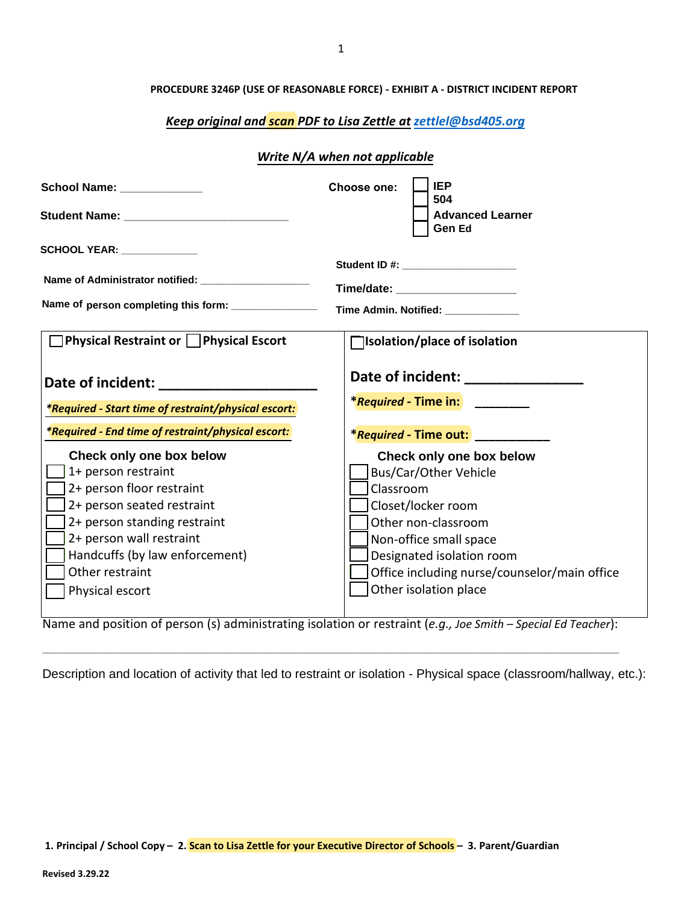## *Keep original and scan PDF to Lisa Zettle at zettlel@bsd405.org*

## *Write N/A when not applicable*

| School Name: Value of the School Name:                                                                                                                                                                                                                                                                                                                                                                                                                                                                                                                                                                                                 | <b>IEP</b><br>Choose one:<br>504                                                                                                                                                                                                            |
|----------------------------------------------------------------------------------------------------------------------------------------------------------------------------------------------------------------------------------------------------------------------------------------------------------------------------------------------------------------------------------------------------------------------------------------------------------------------------------------------------------------------------------------------------------------------------------------------------------------------------------------|---------------------------------------------------------------------------------------------------------------------------------------------------------------------------------------------------------------------------------------------|
|                                                                                                                                                                                                                                                                                                                                                                                                                                                                                                                                                                                                                                        | <b>Advanced Learner</b><br>Gen Ed                                                                                                                                                                                                           |
| SCHOOL YEAR: _____________<br>Name of Administrator notified: _____________________<br>Name of person completing this form: _______________                                                                                                                                                                                                                                                                                                                                                                                                                                                                                            | Student ID #: _______________________<br>Time/date: _____________________<br>Time Admin. Notified: ___________                                                                                                                              |
| $\Box$ Physical Restraint or $\Box$ Physical Escort                                                                                                                                                                                                                                                                                                                                                                                                                                                                                                                                                                                    | $\Box$ Isolation/place of isolation                                                                                                                                                                                                         |
| Date of incident: Date of incident:<br>*Required - Start time of restraint/physical escort:<br>*Required - End time of restraint/physical escort:                                                                                                                                                                                                                                                                                                                                                                                                                                                                                      | <i><b>*Required - Time in:</b></i><br>*Required - Time out: _____________                                                                                                                                                                   |
| Check only one box below<br>1+ person restraint<br>2+ person floor restraint<br>2+ person seated restraint<br>2+ person standing restraint<br>2+ person wall restraint<br>Handcuffs (by law enforcement)<br>Other restraint<br>Physical escort<br>$\overline{1}$ $\overline{1}$ $\overline{1}$ $\overline{1}$ $\overline{1}$ $\overline{1}$ $\overline{1}$ $\overline{1}$ $\overline{1}$ $\overline{1}$ $\overline{1}$ $\overline{1}$ $\overline{1}$ $\overline{1}$ $\overline{1}$ $\overline{1}$ $\overline{1}$ $\overline{1}$ $\overline{1}$ $\overline{1}$ $\overline{1}$ $\overline{1}$ $\overline{1}$ $\overline{1}$ $\overline{$ | Check only one box below<br>Bus/Car/Other Vehicle<br>Classroom<br>Closet/locker room<br>Other non-classroom<br>Non-office small space<br>Designated isolation room<br>Office including nurse/counselor/main office<br>Other isolation place |

Name and position of person (s) administrating isolation or restraint (*e.g., Joe Smith – Special Ed Teacher*):

**\_\_\_\_\_\_\_\_\_\_\_\_\_\_\_\_\_\_\_\_\_\_\_\_\_\_\_\_\_\_\_\_\_\_\_\_\_\_\_\_\_\_\_\_\_\_\_\_\_\_\_\_\_\_\_\_\_\_\_\_\_\_\_\_\_\_\_\_\_\_\_\_\_\_\_\_\_\_\_\_\_\_\_\_\_\_\_\_\_\_\_\_\_\_\_\_\_\_\_\_\_** 

Description and location of activity that led to restraint or isolation - Physical space (classroom/hallway, etc.):

**1. Principal / School Copy – 2. Scan to Lisa Zettle for your Executive Director of Schools – 3. Parent/Guardian**